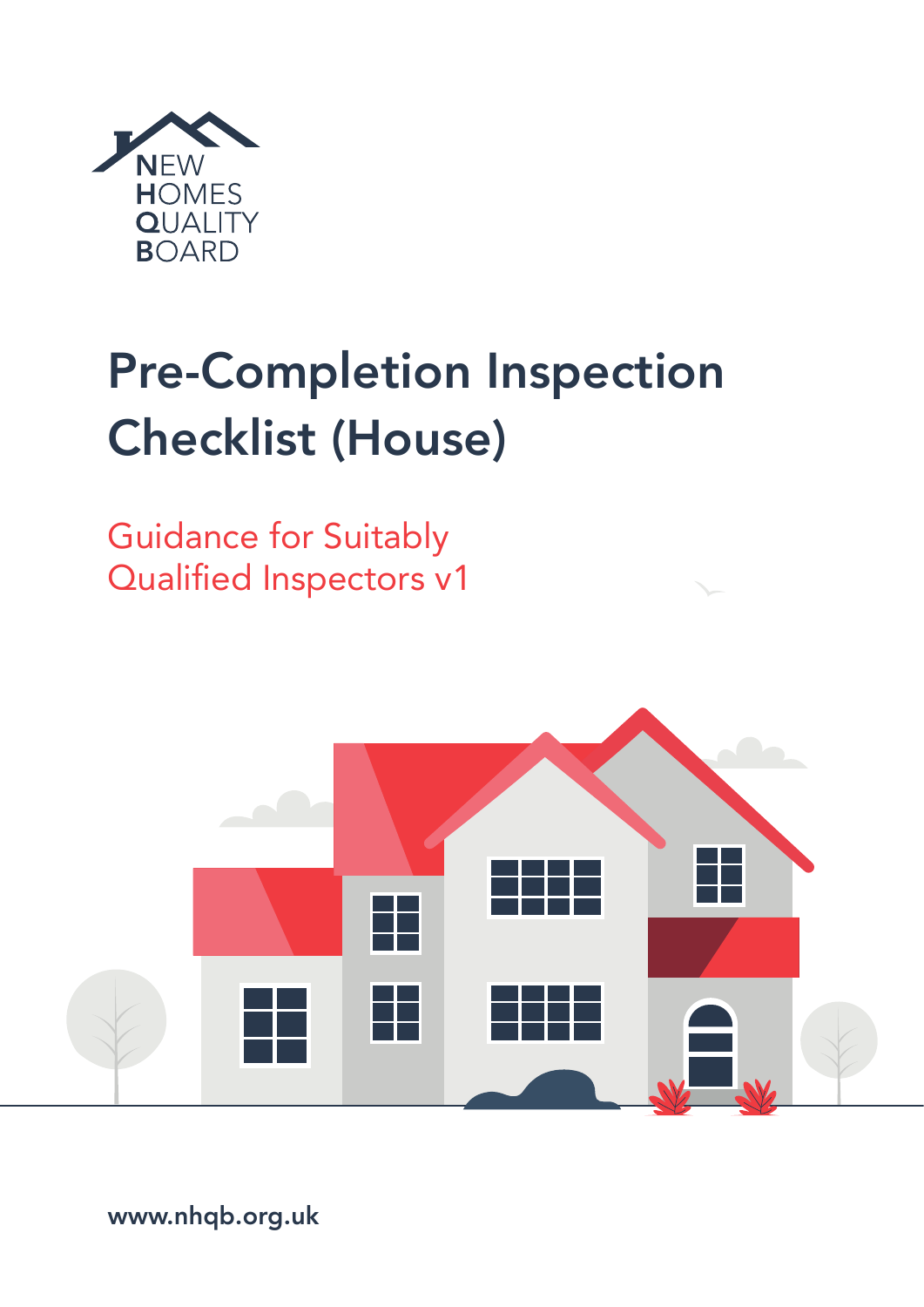

# Pre-Completion Inspection Checklist (House)

Guidance for Suitably Qualified Inspectors v1



www.nhqb.org.uk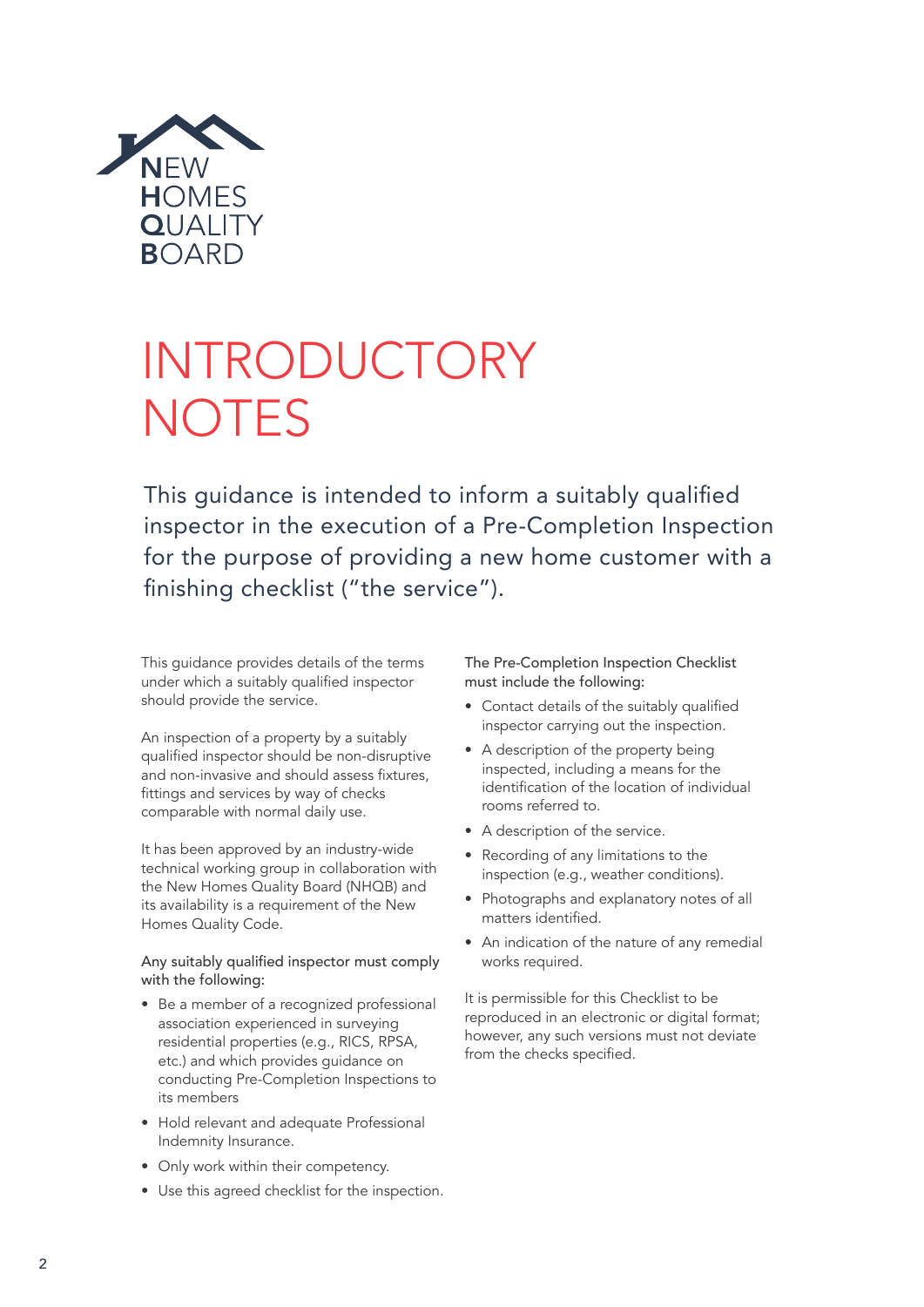

# INTRODUCTORY **NOTES**

This guidance is intended to inform a suitably qualified inspector in the execution of a Pre-Completion Inspection for the purpose of providing a new home customer with a finishing checklist ("the service").

This guidance provides details of the terms under which a suitably qualified inspector should provide the service.

An inspection of a property by a suitably qualified inspector should be non-disruptive and non-invasive and should assess fixtures, fittings and services by way of checks comparable with normal daily use.

It has been approved by an industry-wide technical working group in collaboration with the New Homes Quality Board (NHQB) and its availability is a requirement of the New Homes Quality Code.

Any suitably qualified inspector must comply with the following:

- Be a member of a recognized professional association experienced in surveying residential properties (e.g., RICS, RPSA, etc.) and which provides guidance on conducting Pre-Completion Inspections to its members
- Hold relevant and adequate Professional Indemnity Insurance.
- Only work within their competency.
- Use this agreed checklist for the inspection.

The Pre-Completion Inspection Checklist must include the following:

- Contact details of the suitably qualified inspector carrying out the inspection.
- A description of the property being inspected, including a means for the identification of the location of individual rooms referred to.
- A description of the service.
- Recording of any limitations to the inspection (e.g., weather conditions).
- Photographs and explanatory notes of all matters identified.
- An indication of the nature of any remedial works required.

It is permissible for this Checklist to be reproduced in an electronic or digital format; however, any such versions must not deviate from the checks specified.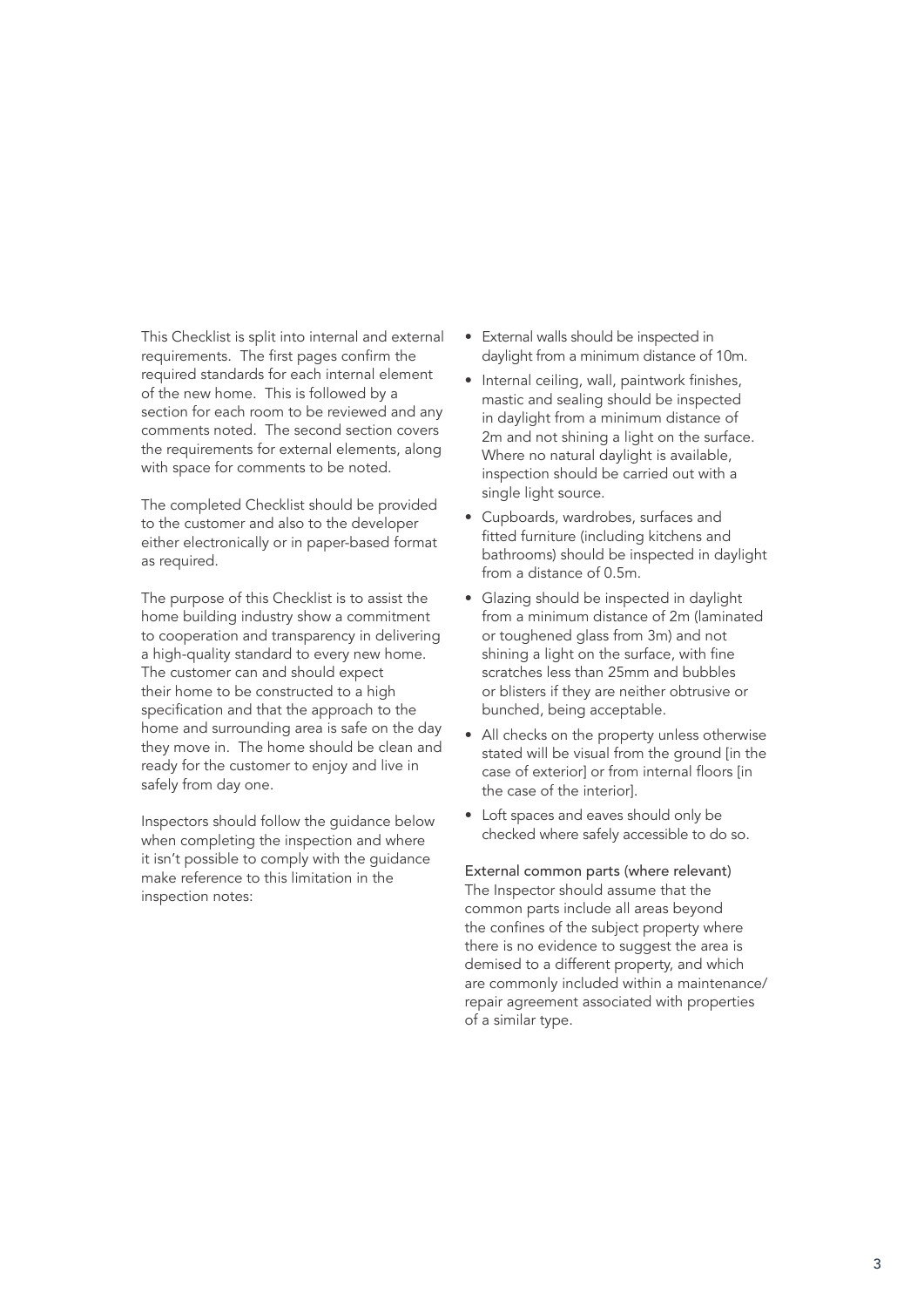This Checklist is split into internal and external requirements. The first pages confirm the required standards for each internal element of the new home. This is followed by a section for each room to be reviewed and any comments noted. The second section covers the requirements for external elements, along with space for comments to be noted.

The completed Checklist should be provided to the customer and also to the developer either electronically or in paper-based format as required.

The purpose of this Checklist is to assist the home building industry show a commitment to cooperation and transparency in delivering a high-quality standard to every new home. The customer can and should expect their home to be constructed to a high specification and that the approach to the home and surrounding area is safe on the day they move in. The home should be clean and ready for the customer to enjoy and live in safely from day one.

Inspectors should follow the guidance below when completing the inspection and where it isn't possible to comply with the guidance make reference to this limitation in the inspection notes:

- External walls should be inspected in daylight from a minimum distance of 10m.
- Internal ceiling, wall, paintwork finishes, mastic and sealing should be inspected in daylight from a minimum distance of 2m and not shining a light on the surface. Where no natural daylight is available, inspection should be carried out with a single light source.
- Cupboards, wardrobes, surfaces and fitted furniture (including kitchens and bathrooms) should be inspected in daylight from a distance of 0.5m.
- Glazing should be inspected in daylight from a minimum distance of 2m (laminated or toughened glass from 3m) and not shining a light on the surface, with fine scratches less than 25mm and bubbles or blisters if they are neither obtrusive or bunched, being acceptable.
- All checks on the property unless otherwise stated will be visual from the ground [in the case of exterior] or from internal floors [in the case of the interior].
- Loft spaces and eaves should only be checked where safely accessible to do so.

External common parts (where relevant) The Inspector should assume that the common parts include all areas beyond the confines of the subject property where there is no evidence to suggest the area is demised to a different property, and which are commonly included within a maintenance/ repair agreement associated with properties of a similar type.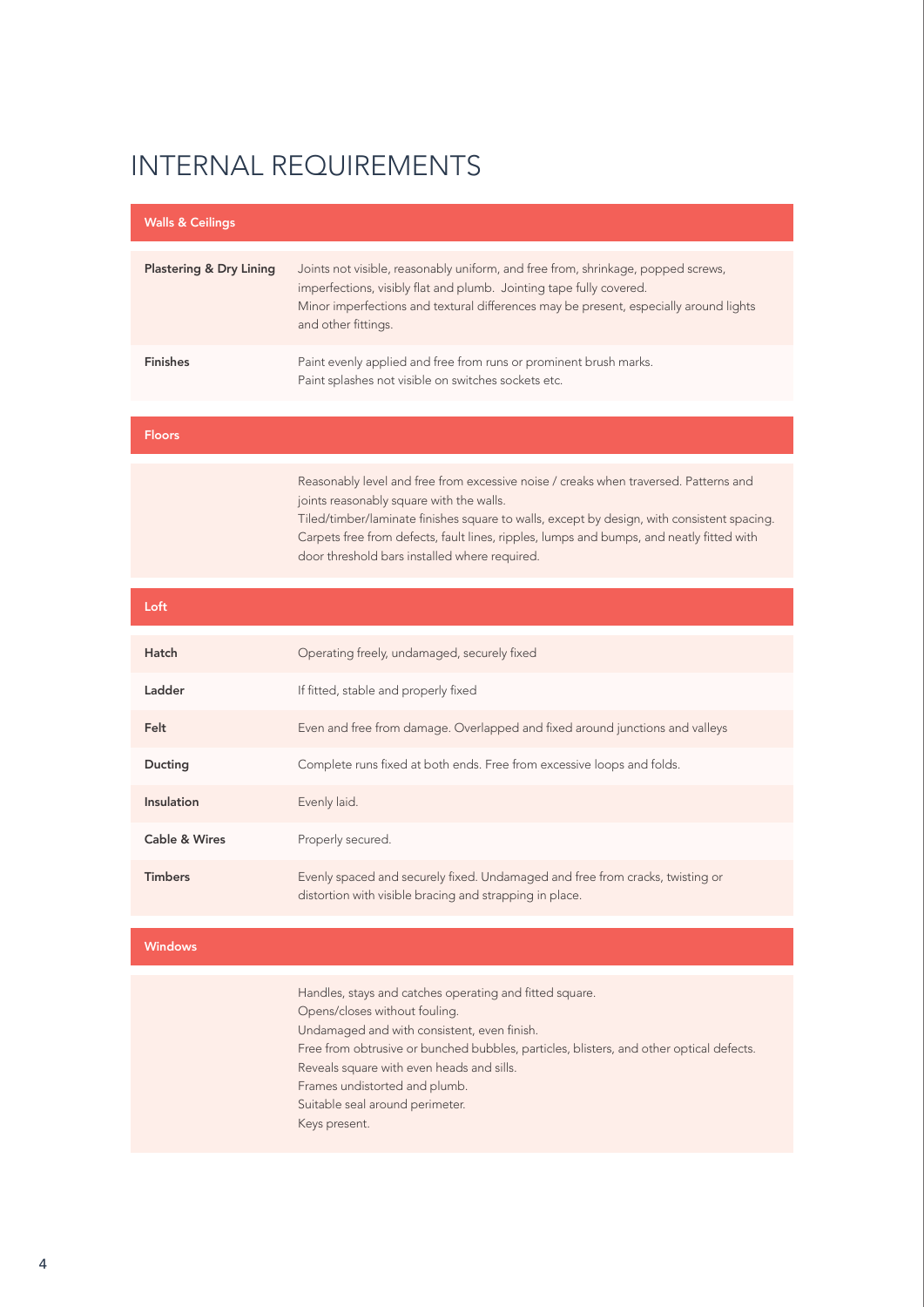| <b>Walls &amp; Ceilings</b>        |                                                                                                                                                                                                                                                                         |
|------------------------------------|-------------------------------------------------------------------------------------------------------------------------------------------------------------------------------------------------------------------------------------------------------------------------|
|                                    |                                                                                                                                                                                                                                                                         |
| <b>Plastering &amp; Dry Lining</b> | Joints not visible, reasonably uniform, and free from, shrinkage, popped screws,<br>imperfections, visibly flat and plumb. Jointing tape fully covered.<br>Minor imperfections and textural differences may be present, especially around lights<br>and other fittings. |
| <b>Finishes</b>                    | Paint evenly applied and free from runs or prominent brush marks.<br>Paint splashes not visible on switches sockets etc.                                                                                                                                                |

#### Floors

Reasonably level and free from excessive noise / creaks when traversed. Patterns and joints reasonably square with the walls. Tiled/timber/laminate finishes square to walls, except by design, with consistent spacing. Carpets free from defects, fault lines, ripples, lumps and bumps, and neatly fitted with door threshold bars installed where required.

| Loft           |                                                                                                                                          |
|----------------|------------------------------------------------------------------------------------------------------------------------------------------|
| Hatch          | Operating freely, undamaged, securely fixed                                                                                              |
| Ladder         | If fitted, stable and properly fixed                                                                                                     |
| Felt           | Even and free from damage. Overlapped and fixed around junctions and valleys                                                             |
| Ducting        | Complete runs fixed at both ends. Free from excessive loops and folds.                                                                   |
| Insulation     | Evenly laid.                                                                                                                             |
| Cable & Wires  | Properly secured.                                                                                                                        |
| <b>Timbers</b> | Evenly spaced and securely fixed. Undamaged and free from cracks, twisting or<br>distortion with visible bracing and strapping in place. |

#### Windows

Handles, stays and catches operating and fitted square. Opens/closes without fouling. Undamaged and with consistent, even finish. Free from obtrusive or bunched bubbles, particles, blisters, and other optical defects. Reveals square with even heads and sills. Frames undistorted and plumb. Suitable seal around perimeter. Keys present.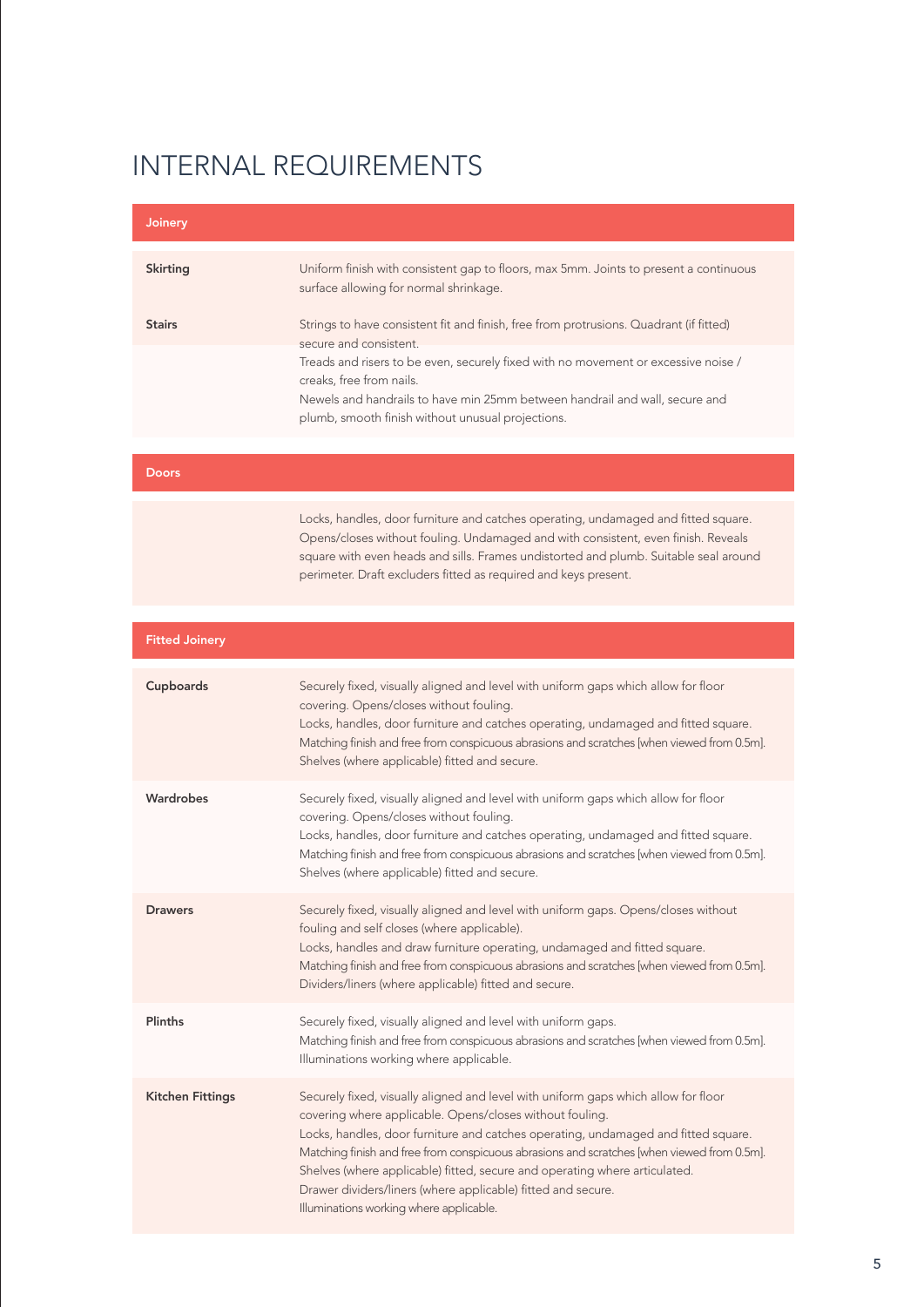| Joinery                 |                                                                                                                                                                                                                                                                                                                                                                                                                                                                                  |
|-------------------------|----------------------------------------------------------------------------------------------------------------------------------------------------------------------------------------------------------------------------------------------------------------------------------------------------------------------------------------------------------------------------------------------------------------------------------------------------------------------------------|
| <b>Skirting</b>         | Uniform finish with consistent gap to floors, max 5mm. Joints to present a continuous<br>surface allowing for normal shrinkage.                                                                                                                                                                                                                                                                                                                                                  |
| <b>Stairs</b>           | Strings to have consistent fit and finish, free from protrusions. Quadrant (if fitted)<br>secure and consistent.                                                                                                                                                                                                                                                                                                                                                                 |
|                         | Treads and risers to be even, securely fixed with no movement or excessive noise /<br>creaks, free from nails.<br>Newels and handrails to have min 25mm between handrail and wall, secure and<br>plumb, smooth finish without unusual projections.                                                                                                                                                                                                                               |
|                         |                                                                                                                                                                                                                                                                                                                                                                                                                                                                                  |
| <b>Doors</b>            |                                                                                                                                                                                                                                                                                                                                                                                                                                                                                  |
|                         | Locks, handles, door furniture and catches operating, undamaged and fitted square.<br>Opens/closes without fouling. Undamaged and with consistent, even finish. Reveals<br>square with even heads and sills. Frames undistorted and plumb. Suitable seal around<br>perimeter. Draft excluders fitted as required and keys present.                                                                                                                                               |
|                         |                                                                                                                                                                                                                                                                                                                                                                                                                                                                                  |
| <b>Fitted Joinery</b>   |                                                                                                                                                                                                                                                                                                                                                                                                                                                                                  |
| Cupboards               | Securely fixed, visually aligned and level with uniform gaps which allow for floor<br>covering. Opens/closes without fouling.<br>Locks, handles, door furniture and catches operating, undamaged and fitted square.<br>Matching finish and free from conspicuous abrasions and scratches [when viewed from 0.5m].<br>Shelves (where applicable) fitted and secure.                                                                                                               |
| Wardrobes               | Securely fixed, visually aligned and level with uniform gaps which allow for floor<br>covering. Opens/closes without fouling.<br>Locks, handles, door furniture and catches operating, undamaged and fitted square.<br>Matching finish and free from conspicuous abrasions and scratches [when viewed from 0.5m].<br>Shelves (where applicable) fitted and secure.                                                                                                               |
| <b>Drawers</b>          | Securely fixed, visually aligned and level with uniform gaps. Opens/closes without<br>fouling and self closes (where applicable).<br>Locks, handles and draw furniture operating, undamaged and fitted square.<br>Matching finish and free from conspicuous abrasions and scratches [when viewed from 0.5m].<br>Dividers/liners (where applicable) fitted and secure.                                                                                                            |
| <b>Plinths</b>          | Securely fixed, visually aligned and level with uniform gaps.<br>Matching finish and free from conspicuous abrasions and scratches [when viewed from 0.5m].<br>Illuminations working where applicable.                                                                                                                                                                                                                                                                           |
| <b>Kitchen Fittings</b> | Securely fixed, visually aligned and level with uniform gaps which allow for floor<br>covering where applicable. Opens/closes without fouling.<br>Locks, handles, door furniture and catches operating, undamaged and fitted square.<br>Matching finish and free from conspicuous abrasions and scratches [when viewed from 0.5m].<br>Shelves (where applicable) fitted, secure and operating where articulated.<br>Drawer dividers/liners (where applicable) fitted and secure. |

Illuminations working where applicable.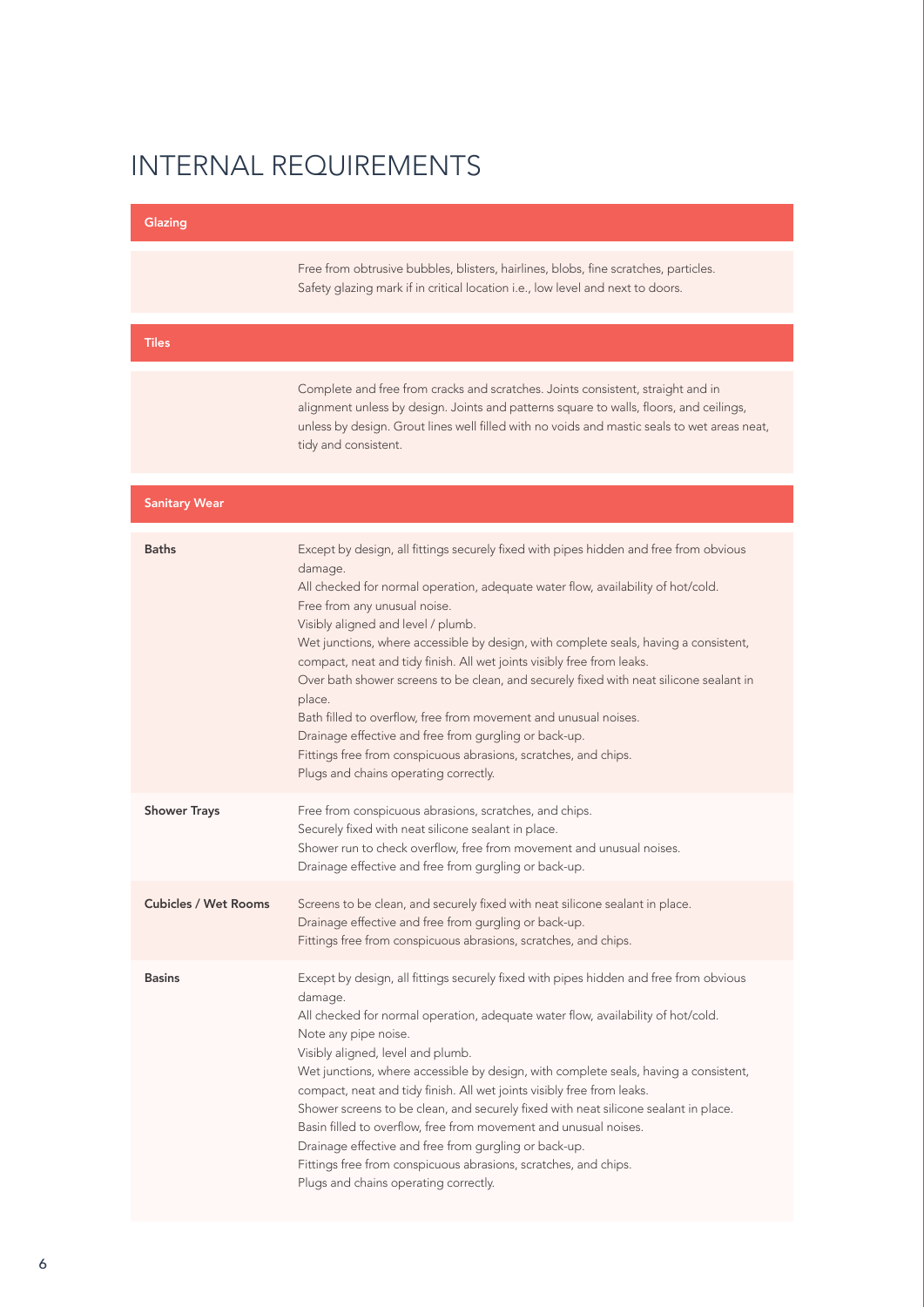| Glazing                     |                                                                                                                                                                                                                                                                                                                                                                                                                                                                                                                                                                                                                                                                                                                                                                          |
|-----------------------------|--------------------------------------------------------------------------------------------------------------------------------------------------------------------------------------------------------------------------------------------------------------------------------------------------------------------------------------------------------------------------------------------------------------------------------------------------------------------------------------------------------------------------------------------------------------------------------------------------------------------------------------------------------------------------------------------------------------------------------------------------------------------------|
|                             | Free from obtrusive bubbles, blisters, hairlines, blobs, fine scratches, particles.<br>Safety glazing mark if in critical location i.e., low level and next to doors.                                                                                                                                                                                                                                                                                                                                                                                                                                                                                                                                                                                                    |
| <b>Tiles</b>                |                                                                                                                                                                                                                                                                                                                                                                                                                                                                                                                                                                                                                                                                                                                                                                          |
|                             | Complete and free from cracks and scratches. Joints consistent, straight and in<br>alignment unless by design. Joints and patterns square to walls, floors, and ceilings,<br>unless by design. Grout lines well filled with no voids and mastic seals to wet areas neat,<br>tidy and consistent.                                                                                                                                                                                                                                                                                                                                                                                                                                                                         |
| <b>Sanitary Wear</b>        |                                                                                                                                                                                                                                                                                                                                                                                                                                                                                                                                                                                                                                                                                                                                                                          |
| <b>Baths</b>                | Except by design, all fittings securely fixed with pipes hidden and free from obvious<br>damage.<br>All checked for normal operation, adequate water flow, availability of hot/cold.<br>Free from any unusual noise.<br>Visibly aligned and level / plumb.<br>Wet junctions, where accessible by design, with complete seals, having a consistent,<br>compact, neat and tidy finish. All wet joints visibly free from leaks.<br>Over bath shower screens to be clean, and securely fixed with neat silicone sealant in<br>place.<br>Bath filled to overflow, free from movement and unusual noises.<br>Drainage effective and free from gurgling or back-up.<br>Fittings free from conspicuous abrasions, scratches, and chips.<br>Plugs and chains operating correctly. |
| <b>Shower Trays</b>         | Free from conspicuous abrasions, scratches, and chips.<br>Securely fixed with neat silicone sealant in place.<br>Shower run to check overflow, free from movement and unusual noises.<br>Drainage effective and free from gurgling or back-up.                                                                                                                                                                                                                                                                                                                                                                                                                                                                                                                           |
| <b>Cubicles / Wet Rooms</b> | Screens to be clean, and securely fixed with neat silicone sealant in place.<br>Drainage effective and free from gurgling or back-up.<br>Fittings free from conspicuous abrasions, scratches, and chips.                                                                                                                                                                                                                                                                                                                                                                                                                                                                                                                                                                 |
| <b>Basins</b>               | Except by design, all fittings securely fixed with pipes hidden and free from obvious<br>damage.<br>All checked for normal operation, adequate water flow, availability of hot/cold.<br>Note any pipe noise.<br>Visibly aligned, level and plumb.<br>Wet junctions, where accessible by design, with complete seals, having a consistent,<br>compact, neat and tidy finish. All wet joints visibly free from leaks.<br>Shower screens to be clean, and securely fixed with neat silicone sealant in place.<br>Basin filled to overflow, free from movement and unusual noises.<br>Drainage effective and free from gurgling or back-up.<br>Fittings free from conspicuous abrasions, scratches, and chips.<br>Plugs and chains operating correctly.                      |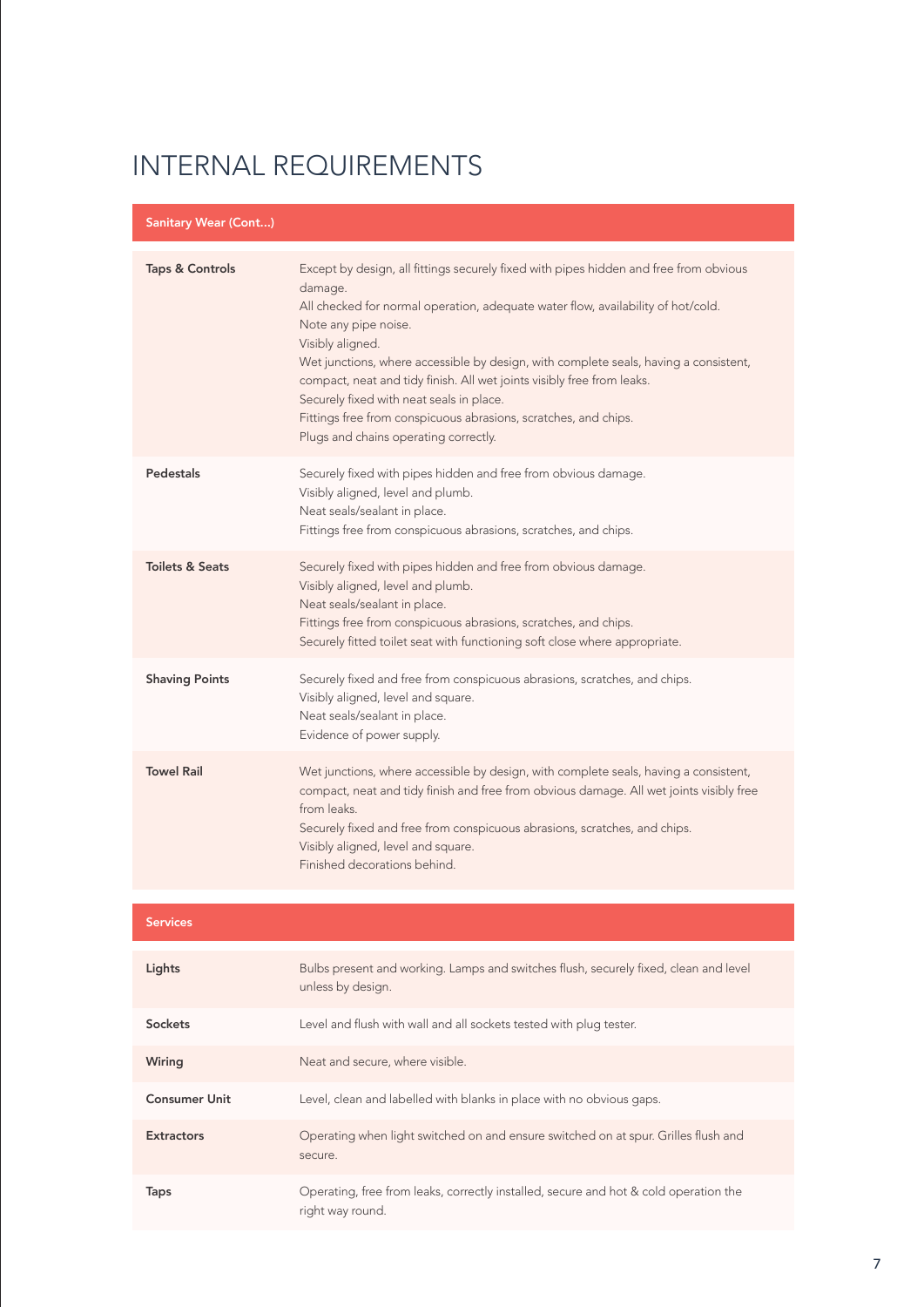| <b>Sanitary Wear (Cont)</b> |                                                                                                                                                                                                                                                                                                                                                                                                                                                                                                                                                            |
|-----------------------------|------------------------------------------------------------------------------------------------------------------------------------------------------------------------------------------------------------------------------------------------------------------------------------------------------------------------------------------------------------------------------------------------------------------------------------------------------------------------------------------------------------------------------------------------------------|
| <b>Taps &amp; Controls</b>  | Except by design, all fittings securely fixed with pipes hidden and free from obvious<br>damage.<br>All checked for normal operation, adequate water flow, availability of hot/cold.<br>Note any pipe noise.<br>Visibly aligned.<br>Wet junctions, where accessible by design, with complete seals, having a consistent,<br>compact, neat and tidy finish. All wet joints visibly free from leaks.<br>Securely fixed with neat seals in place.<br>Fittings free from conspicuous abrasions, scratches, and chips.<br>Plugs and chains operating correctly. |
| Pedestals                   | Securely fixed with pipes hidden and free from obvious damage.<br>Visibly aligned, level and plumb.<br>Neat seals/sealant in place.<br>Fittings free from conspicuous abrasions, scratches, and chips.                                                                                                                                                                                                                                                                                                                                                     |
| <b>Toilets &amp; Seats</b>  | Securely fixed with pipes hidden and free from obvious damage.<br>Visibly aligned, level and plumb.<br>Neat seals/sealant in place.<br>Fittings free from conspicuous abrasions, scratches, and chips.<br>Securely fitted toilet seat with functioning soft close where appropriate.                                                                                                                                                                                                                                                                       |
| <b>Shaving Points</b>       | Securely fixed and free from conspicuous abrasions, scratches, and chips.<br>Visibly aligned, level and square.<br>Neat seals/sealant in place.<br>Evidence of power supply.                                                                                                                                                                                                                                                                                                                                                                               |
| <b>Towel Rail</b>           | Wet junctions, where accessible by design, with complete seals, having a consistent,<br>compact, neat and tidy finish and free from obvious damage. All wet joints visibly free<br>from leaks.<br>Securely fixed and free from conspicuous abrasions, scratches, and chips.<br>Visibly aligned, level and square.<br>Finished decorations behind.                                                                                                                                                                                                          |

| Services |  |  |  |
|----------|--|--|--|
|          |  |  |  |

| Lights               | Bulbs present and working. Lamps and switches flush, securely fixed, clean and level<br>unless by design. |
|----------------------|-----------------------------------------------------------------------------------------------------------|
| Sockets              | Level and flush with wall and all sockets tested with plug tester.                                        |
| Wiring               | Neat and secure, where visible.                                                                           |
| <b>Consumer Unit</b> | Level, clean and labelled with blanks in place with no obvious gaps.                                      |
| <b>Extractors</b>    | Operating when light switched on and ensure switched on at spur. Grilles flush and<br>secure.             |
| Taps                 | Operating, free from leaks, correctly installed, secure and hot & cold operation the<br>right way round.  |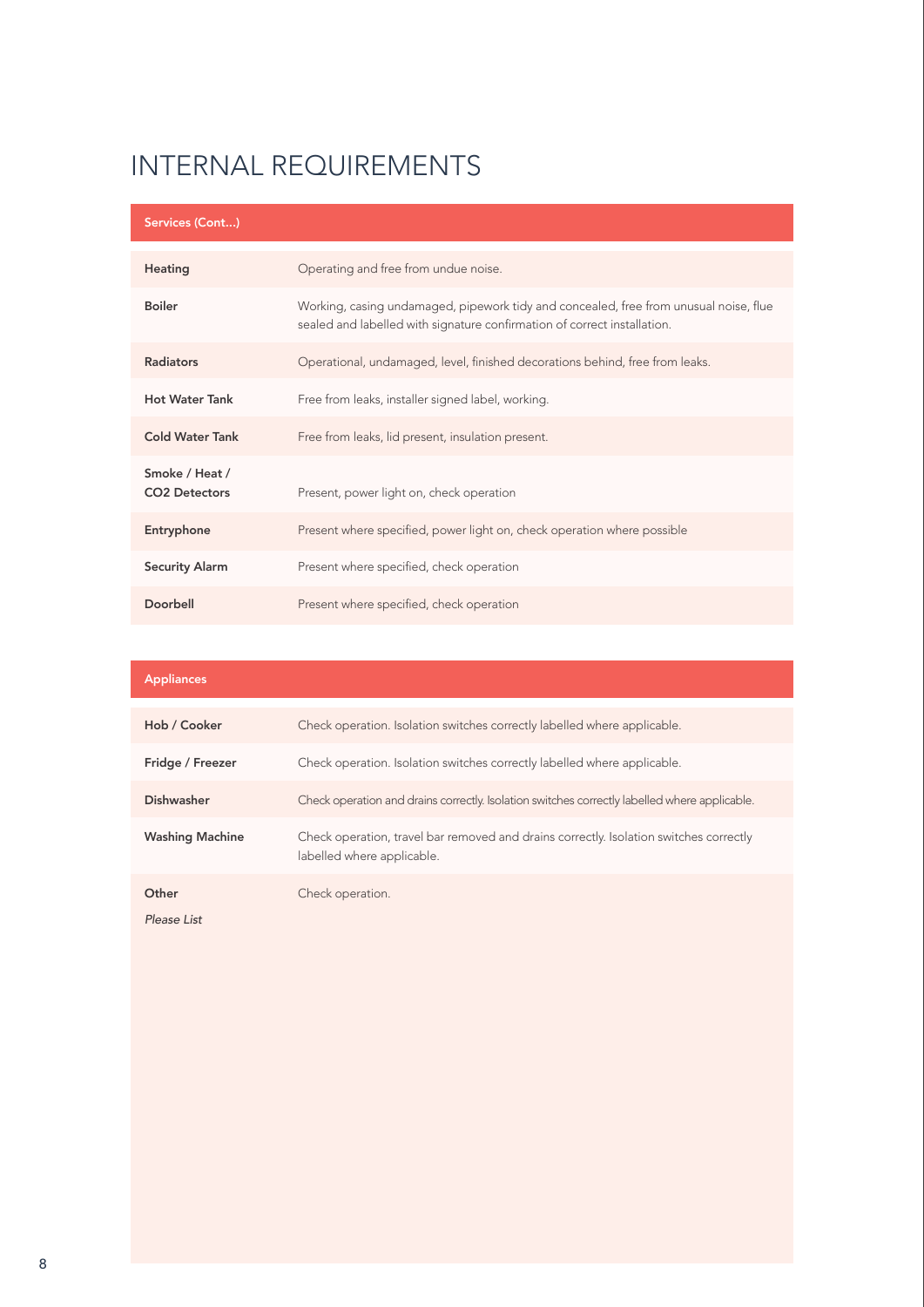| Services (Cont)                        |                                                                                                                                                                   |
|----------------------------------------|-------------------------------------------------------------------------------------------------------------------------------------------------------------------|
| Heating                                | Operating and free from undue noise.                                                                                                                              |
| <b>Boiler</b>                          | Working, casing undamaged, pipework tidy and concealed, free from unusual noise, flue<br>sealed and labelled with signature confirmation of correct installation. |
| <b>Radiators</b>                       | Operational, undamaged, level, finished decorations behind, free from leaks.                                                                                      |
| <b>Hot Water Tank</b>                  | Free from leaks, installer signed label, working.                                                                                                                 |
| <b>Cold Water Tank</b>                 | Free from leaks, lid present, insulation present.                                                                                                                 |
| Smoke / Heat /<br><b>CO2 Detectors</b> | Present, power light on, check operation                                                                                                                          |
| Entryphone                             | Present where specified, power light on, check operation where possible                                                                                           |
| <b>Security Alarm</b>                  | Present where specified, check operation                                                                                                                          |
| Doorbell                               | Present where specified, check operation                                                                                                                          |

| <b>Appliances</b>      |                                                                                                                      |
|------------------------|----------------------------------------------------------------------------------------------------------------------|
|                        |                                                                                                                      |
| Hob / Cooker           | Check operation. Isolation switches correctly labelled where applicable.                                             |
| Fridge / Freezer       | Check operation. Isolation switches correctly labelled where applicable.                                             |
| <b>Dishwasher</b>      | Check operation and drains correctly. Isolation switches correctly labelled where applicable.                        |
| <b>Washing Machine</b> | Check operation, travel bar removed and drains correctly. Isolation switches correctly<br>labelled where applicable. |
| Other                  | Check operation.                                                                                                     |

*Please List*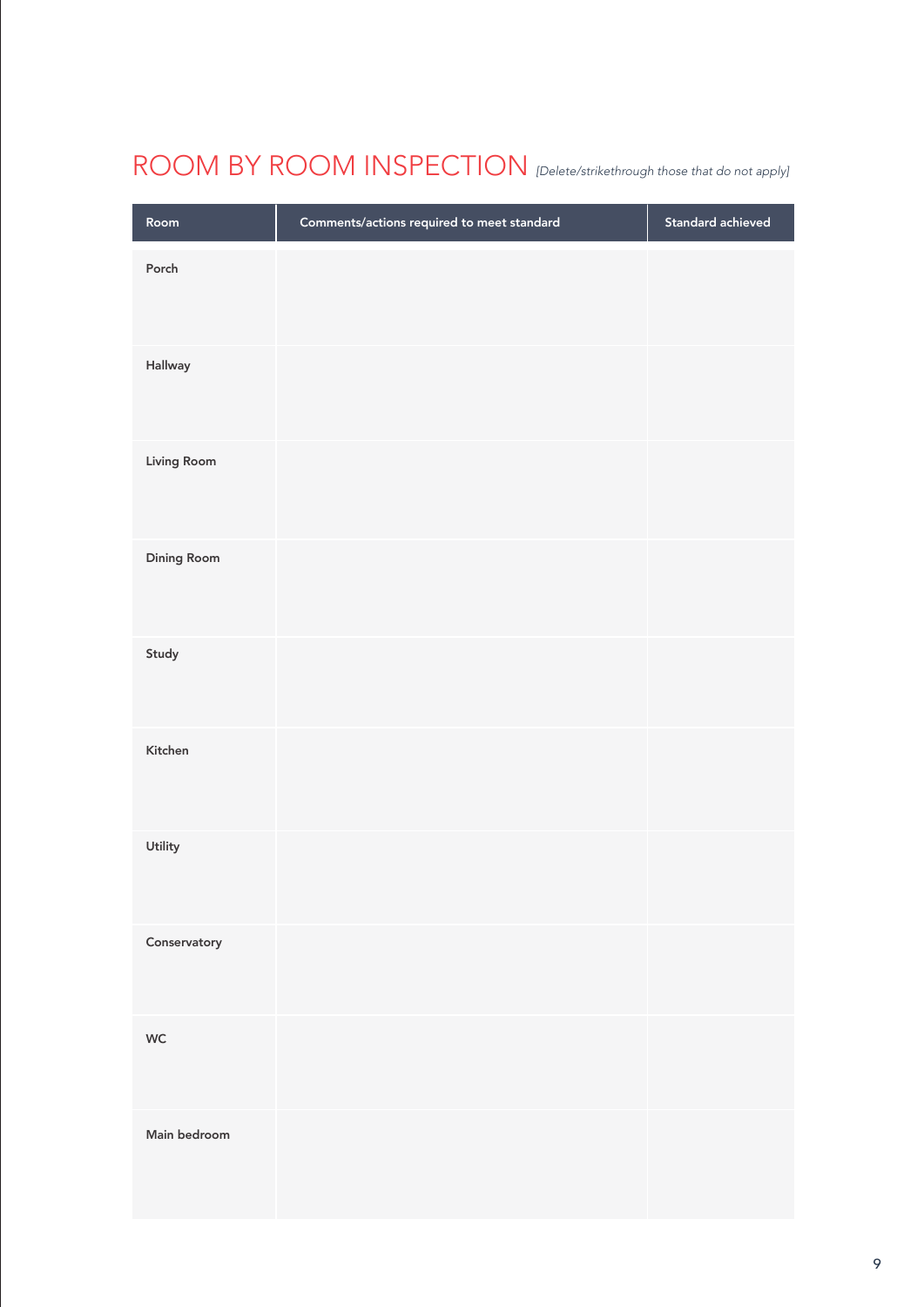# ROOM BY ROOM INSPECTION *[Delete/strikethrough those that do not apply]*

| Room               | Comments/actions required to meet standard | Standard achieved |
|--------------------|--------------------------------------------|-------------------|
| Porch              |                                            |                   |
| Hallway            |                                            |                   |
| Living Room        |                                            |                   |
| <b>Dining Room</b> |                                            |                   |
| Study              |                                            |                   |
| Kitchen            |                                            |                   |
| Utility            |                                            |                   |
| Conservatory       |                                            |                   |
| WC                 |                                            |                   |
| Main bedroom       |                                            |                   |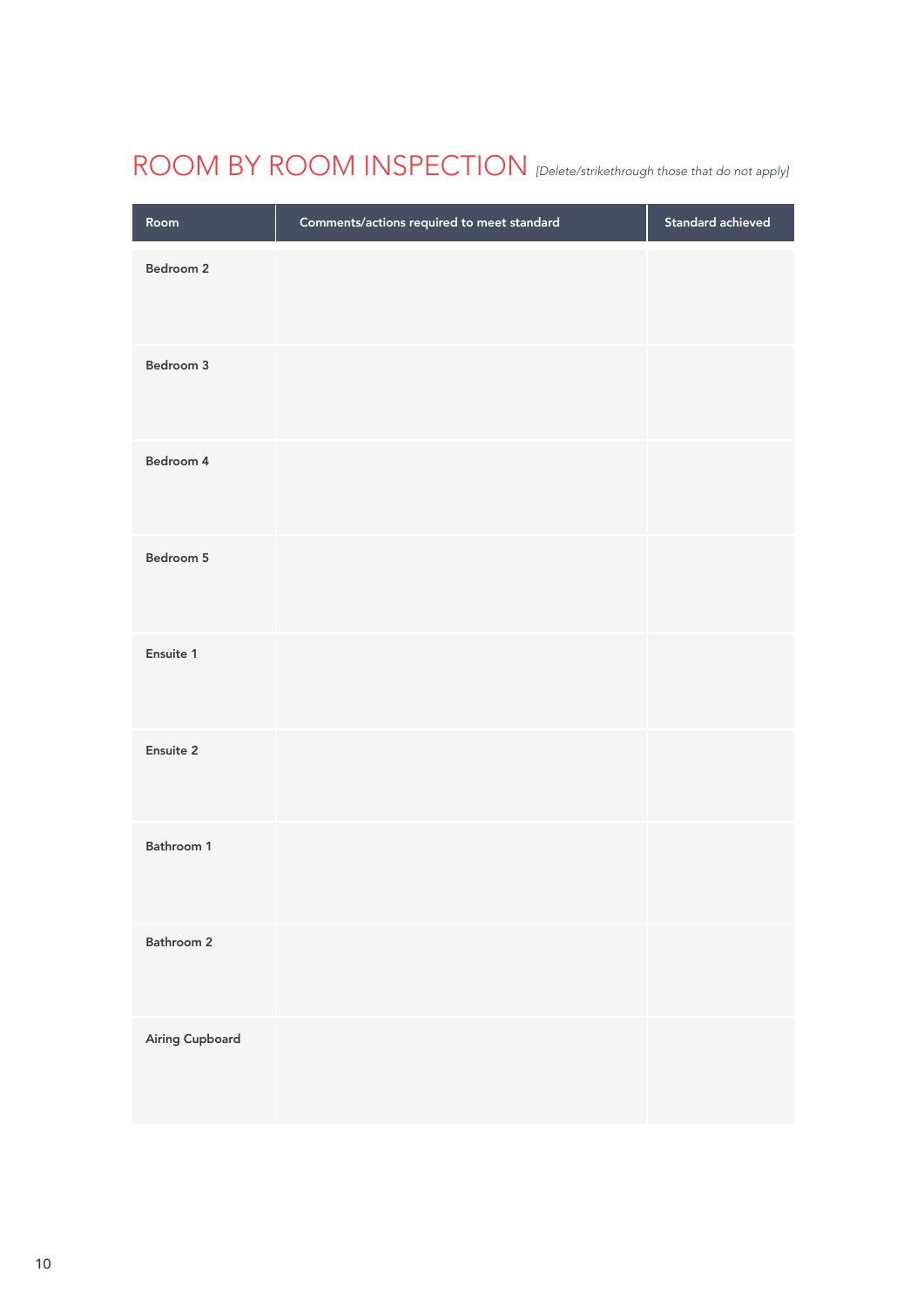# ROOM BY ROOM INSPECTION *[Delete/strikethrough those that do not apply]*

| Room            | Comments/actions required to meet standard | Standard achieved |
|-----------------|--------------------------------------------|-------------------|
| Bedroom 2       |                                            |                   |
| Bedroom 3       |                                            |                   |
| Bedroom 4       |                                            |                   |
| Bedroom 5       |                                            |                   |
| Ensuite 1       |                                            |                   |
| Ensuite 2       |                                            |                   |
| Bathroom 1      |                                            |                   |
| Bathroom 2      |                                            |                   |
| Airing Cupboard |                                            |                   |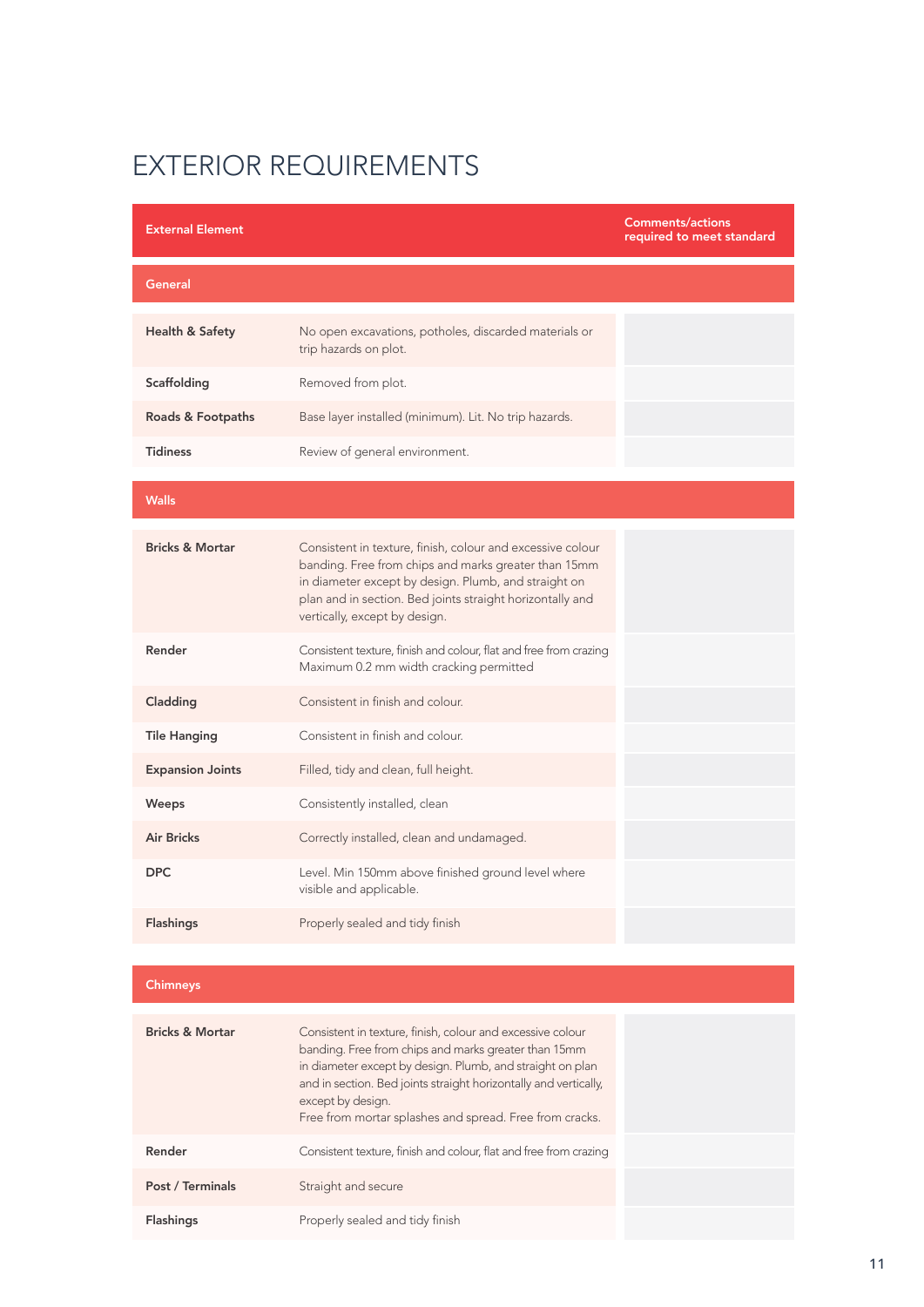Flashings Properly sealed and tidy finish

| <b>External Element</b>    |                                                                                                                                                                                                                                                                                                                                     | <b>Comments/actions</b><br>required to meet standard |
|----------------------------|-------------------------------------------------------------------------------------------------------------------------------------------------------------------------------------------------------------------------------------------------------------------------------------------------------------------------------------|------------------------------------------------------|
| General                    |                                                                                                                                                                                                                                                                                                                                     |                                                      |
| <b>Health &amp; Safety</b> | No open excavations, potholes, discarded materials or<br>trip hazards on plot.                                                                                                                                                                                                                                                      |                                                      |
| Scaffolding                | Removed from plot.                                                                                                                                                                                                                                                                                                                  |                                                      |
| Roads & Footpaths          | Base layer installed (minimum). Lit. No trip hazards.                                                                                                                                                                                                                                                                               |                                                      |
| <b>Tidiness</b>            | Review of general environment.                                                                                                                                                                                                                                                                                                      |                                                      |
| <b>Walls</b>               |                                                                                                                                                                                                                                                                                                                                     |                                                      |
| <b>Bricks &amp; Mortar</b> | Consistent in texture, finish, colour and excessive colour<br>banding. Free from chips and marks greater than 15mm<br>in diameter except by design. Plumb, and straight on<br>plan and in section. Bed joints straight horizontally and<br>vertically, except by design.                                                            |                                                      |
| Render                     | Consistent texture, finish and colour, flat and free from crazing<br>Maximum 0.2 mm width cracking permitted                                                                                                                                                                                                                        |                                                      |
| Cladding                   | Consistent in finish and colour.                                                                                                                                                                                                                                                                                                    |                                                      |
| <b>Tile Hanging</b>        | Consistent in finish and colour.                                                                                                                                                                                                                                                                                                    |                                                      |
| <b>Expansion Joints</b>    | Filled, tidy and clean, full height.                                                                                                                                                                                                                                                                                                |                                                      |
| Weeps                      | Consistently installed, clean                                                                                                                                                                                                                                                                                                       |                                                      |
| <b>Air Bricks</b>          | Correctly installed, clean and undamaged.                                                                                                                                                                                                                                                                                           |                                                      |
| <b>DPC</b>                 | Level. Min 150mm above finished ground level where<br>visible and applicable.                                                                                                                                                                                                                                                       |                                                      |
| <b>Flashings</b>           | Properly sealed and tidy finish                                                                                                                                                                                                                                                                                                     |                                                      |
|                            |                                                                                                                                                                                                                                                                                                                                     |                                                      |
| <b>Chimneys</b>            |                                                                                                                                                                                                                                                                                                                                     |                                                      |
| <b>Bricks &amp; Mortar</b> | Consistent in texture, finish, colour and excessive colour<br>banding. Free from chips and marks greater than 15mm<br>in diameter except by design. Plumb, and straight on plan<br>and in section. Bed joints straight horizontally and vertically,<br>except by design.<br>Free from mortar splashes and spread. Free from cracks. |                                                      |
| Render                     | Consistent texture, finish and colour, flat and free from crazing                                                                                                                                                                                                                                                                   |                                                      |
| Post / Terminals           | Straight and secure                                                                                                                                                                                                                                                                                                                 |                                                      |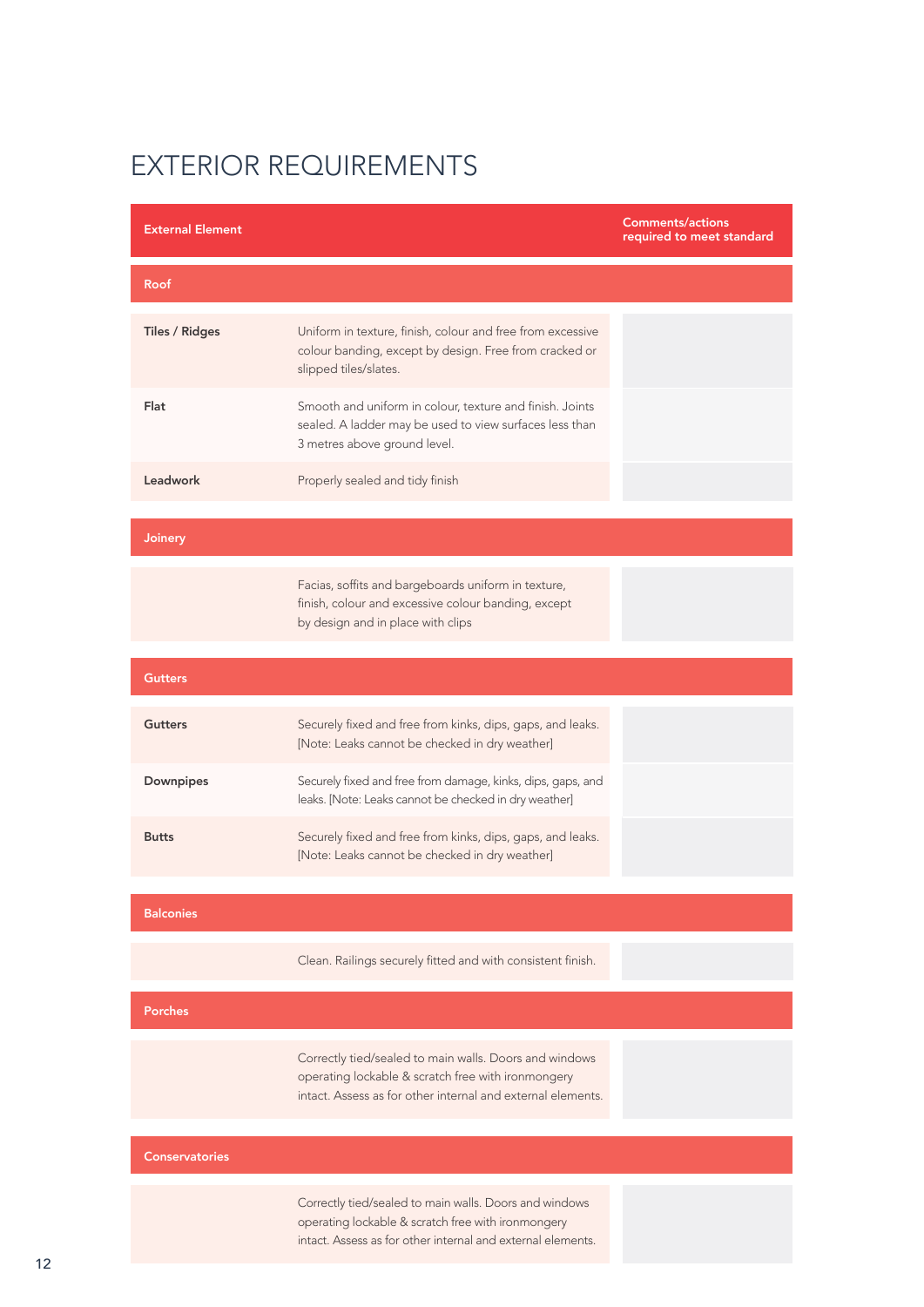| <b>External Element</b> |                                                                                                                                                                             | <b>Comments/actions</b><br>required to meet standard |
|-------------------------|-----------------------------------------------------------------------------------------------------------------------------------------------------------------------------|------------------------------------------------------|
| <b>Roof</b>             |                                                                                                                                                                             |                                                      |
| <b>Tiles / Ridges</b>   | Uniform in texture, finish, colour and free from excessive<br>colour banding, except by design. Free from cracked or<br>slipped tiles/slates.                               |                                                      |
| Flat                    | Smooth and uniform in colour, texture and finish. Joints<br>sealed. A ladder may be used to view surfaces less than<br>3 metres above ground level.                         |                                                      |
| Leadwork                | Properly sealed and tidy finish                                                                                                                                             |                                                      |
| Joinery                 |                                                                                                                                                                             |                                                      |
|                         | Facias, soffits and bargeboards uniform in texture,<br>finish, colour and excessive colour banding, except<br>by design and in place with clips                             |                                                      |
| <b>Gutters</b>          |                                                                                                                                                                             |                                                      |
| <b>Gutters</b>          | Securely fixed and free from kinks, dips, gaps, and leaks.<br>[Note: Leaks cannot be checked in dry weather]                                                                |                                                      |
| Downpipes               | Securely fixed and free from damage, kinks, dips, gaps, and<br>leaks. [Note: Leaks cannot be checked in dry weather]                                                        |                                                      |
| <b>Butts</b>            | Securely fixed and free from kinks, dips, gaps, and leaks.<br>[Note: Leaks cannot be checked in dry weather]                                                                |                                                      |
| <b>Balconies</b>        |                                                                                                                                                                             |                                                      |
|                         | Clean. Railings securely fitted and with consistent finish.                                                                                                                 |                                                      |
| <b>Porches</b>          |                                                                                                                                                                             |                                                      |
|                         | Correctly tied/sealed to main walls. Doors and windows<br>operating lockable & scratch free with ironmongery<br>intact. Assess as for other internal and external elements. |                                                      |
| <b>Conservatories</b>   |                                                                                                                                                                             |                                                      |
|                         | Correctly tied/sealed to main walls. Doors and windows<br>operating lockable & scratch free with ironmongery<br>intact. Assess as for other internal and external elements. |                                                      |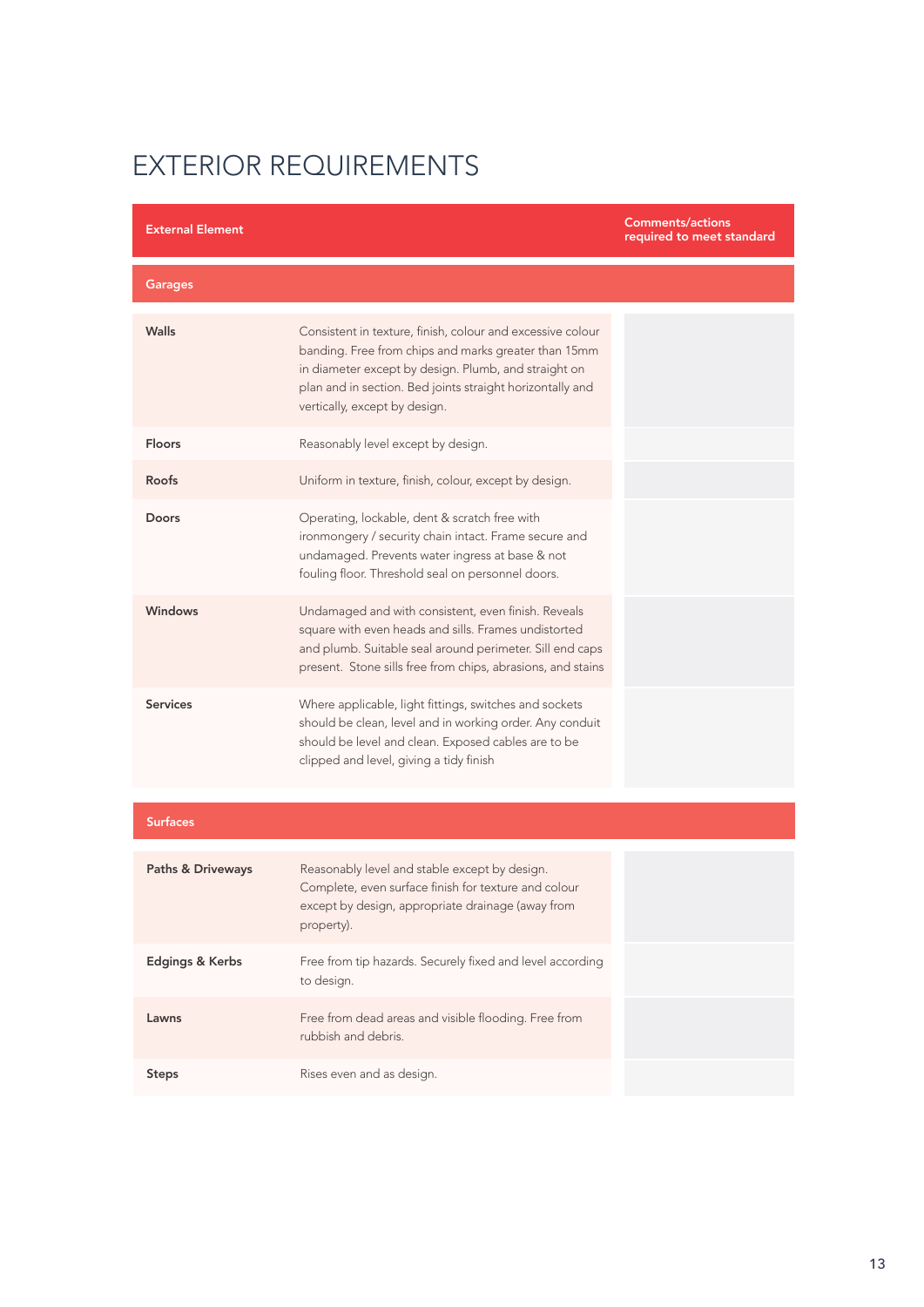| <b>External Element</b>      |                                                                                                                                                                                                                                                                          | <b>Comments/actions</b><br>required to meet standard |
|------------------------------|--------------------------------------------------------------------------------------------------------------------------------------------------------------------------------------------------------------------------------------------------------------------------|------------------------------------------------------|
| <b>Garages</b>               |                                                                                                                                                                                                                                                                          |                                                      |
| Walls                        | Consistent in texture, finish, colour and excessive colour<br>banding. Free from chips and marks greater than 15mm<br>in diameter except by design. Plumb, and straight on<br>plan and in section. Bed joints straight horizontally and<br>vertically, except by design. |                                                      |
| <b>Floors</b>                | Reasonably level except by design.                                                                                                                                                                                                                                       |                                                      |
| Roofs                        | Uniform in texture, finish, colour, except by design.                                                                                                                                                                                                                    |                                                      |
| <b>Doors</b>                 | Operating, lockable, dent & scratch free with<br>ironmongery / security chain intact. Frame secure and<br>undamaged. Prevents water ingress at base & not<br>fouling floor. Threshold seal on personnel doors.                                                           |                                                      |
| <b>Windows</b>               | Undamaged and with consistent, even finish. Reveals<br>square with even heads and sills. Frames undistorted<br>and plumb. Suitable seal around perimeter. Sill end caps<br>present. Stone sills free from chips, abrasions, and stains                                   |                                                      |
| <b>Services</b>              | Where applicable, light fittings, switches and sockets<br>should be clean, level and in working order. Any conduit<br>should be level and clean. Exposed cables are to be<br>clipped and level, giving a tidy finish                                                     |                                                      |
| <b>Surfaces</b>              |                                                                                                                                                                                                                                                                          |                                                      |
| <b>Paths &amp; Driveways</b> | Reasonably level and stable except by design.<br>Complete, even surface finish for texture and colour<br>except by design, appropriate drainage (away from<br>property).                                                                                                 |                                                      |
| Edgings & Kerbs              | Free from tip hazards. Securely fixed and level according<br>to design.                                                                                                                                                                                                  |                                                      |
| Lawns                        | Free from dead areas and visible flooding. Free from<br>rubbish and debris.                                                                                                                                                                                              |                                                      |
| <b>Steps</b>                 | Rises even and as design.                                                                                                                                                                                                                                                |                                                      |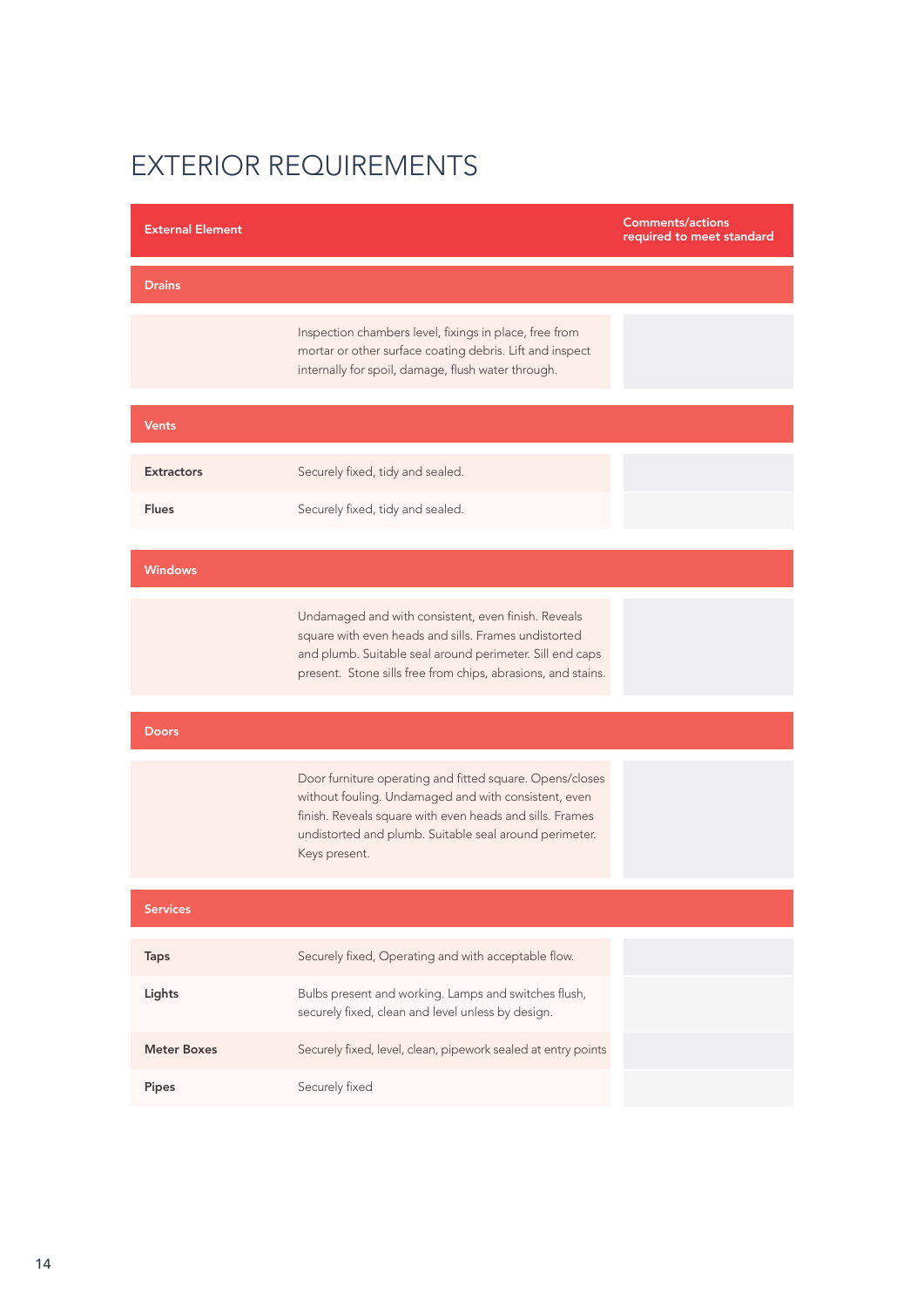| <b>External Element</b> |                                                                                                                                                                                                                                                         | <b>Comments/actions</b><br>required to meet standard |
|-------------------------|---------------------------------------------------------------------------------------------------------------------------------------------------------------------------------------------------------------------------------------------------------|------------------------------------------------------|
| <b>Drains</b>           |                                                                                                                                                                                                                                                         |                                                      |
|                         | Inspection chambers level, fixings in place, free from<br>mortar or other surface coating debris. Lift and inspect<br>internally for spoil, damage, flush water through.                                                                                |                                                      |
| <b>Vents</b>            |                                                                                                                                                                                                                                                         |                                                      |
| <b>Extractors</b>       | Securely fixed, tidy and sealed.                                                                                                                                                                                                                        |                                                      |
| <b>Flues</b>            | Securely fixed, tidy and sealed.                                                                                                                                                                                                                        |                                                      |
| <b>Windows</b>          |                                                                                                                                                                                                                                                         |                                                      |
|                         | Undamaged and with consistent, even finish. Reveals<br>square with even heads and sills. Frames undistorted<br>and plumb. Suitable seal around perimeter. Sill end caps<br>present. Stone sills free from chips, abrasions, and stains.                 |                                                      |
| <b>Doors</b>            |                                                                                                                                                                                                                                                         |                                                      |
|                         | Door furniture operating and fitted square. Opens/closes<br>without fouling. Undamaged and with consistent, even<br>finish. Reveals square with even heads and sills. Frames<br>undistorted and plumb. Suitable seal around perimeter.<br>Keys present. |                                                      |
| Services                |                                                                                                                                                                                                                                                         |                                                      |
| <b>Taps</b>             | Securely fixed, Operating and with acceptable flow.                                                                                                                                                                                                     |                                                      |
| Lights                  | Bulbs present and working. Lamps and switches flush,<br>securely fixed, clean and level unless by design.                                                                                                                                               |                                                      |
| <b>Meter Boxes</b>      | Securely fixed, level, clean, pipework sealed at entry points                                                                                                                                                                                           |                                                      |
| Pipes                   | Securely fixed                                                                                                                                                                                                                                          |                                                      |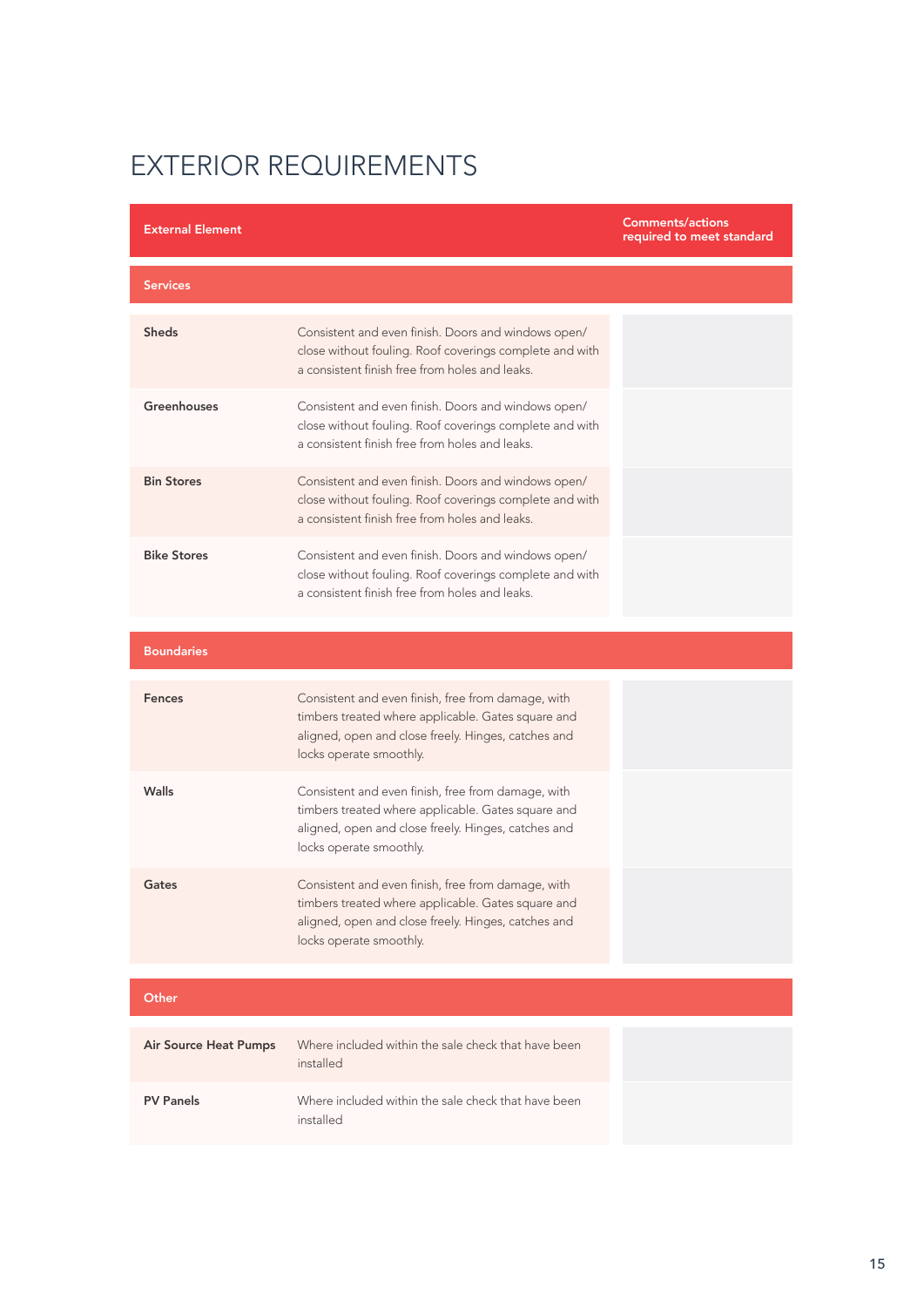| <b>External Element</b>      |                                                                                                                                                                                            | <b>Comments/actions</b><br>required to meet standard |
|------------------------------|--------------------------------------------------------------------------------------------------------------------------------------------------------------------------------------------|------------------------------------------------------|
| <b>Services</b>              |                                                                                                                                                                                            |                                                      |
| <b>Sheds</b>                 | Consistent and even finish. Doors and windows open/<br>close without fouling. Roof coverings complete and with<br>a consistent finish free from holes and leaks.                           |                                                      |
| <b>Greenhouses</b>           | Consistent and even finish. Doors and windows open/<br>close without fouling. Roof coverings complete and with<br>a consistent finish free from holes and leaks.                           |                                                      |
| <b>Bin Stores</b>            | Consistent and even finish. Doors and windows open/<br>close without fouling. Roof coverings complete and with<br>a consistent finish free from holes and leaks.                           |                                                      |
| <b>Bike Stores</b>           | Consistent and even finish. Doors and windows open/<br>close without fouling. Roof coverings complete and with<br>a consistent finish free from holes and leaks.                           |                                                      |
| <b>Boundaries</b>            |                                                                                                                                                                                            |                                                      |
| <b>Fences</b>                | Consistent and even finish, free from damage, with<br>timbers treated where applicable. Gates square and<br>aligned, open and close freely. Hinges, catches and<br>locks operate smoothly. |                                                      |
| Walls                        | Consistent and even finish, free from damage, with<br>timbers treated where applicable. Gates square and<br>aligned, open and close freely. Hinges, catches and<br>locks operate smoothly. |                                                      |
| Gates                        | Consistent and even finish, free from damage, with<br>timbers treated where applicable. Gates square and<br>aligned, open and close freely. Hinges, catches and<br>locks operate smoothly. |                                                      |
| Other                        |                                                                                                                                                                                            |                                                      |
| <b>Air Source Heat Pumps</b> | Where included within the sale check that have been<br>installed                                                                                                                           |                                                      |
| <b>PV Panels</b>             | Where included within the sale check that have been<br>installed                                                                                                                           |                                                      |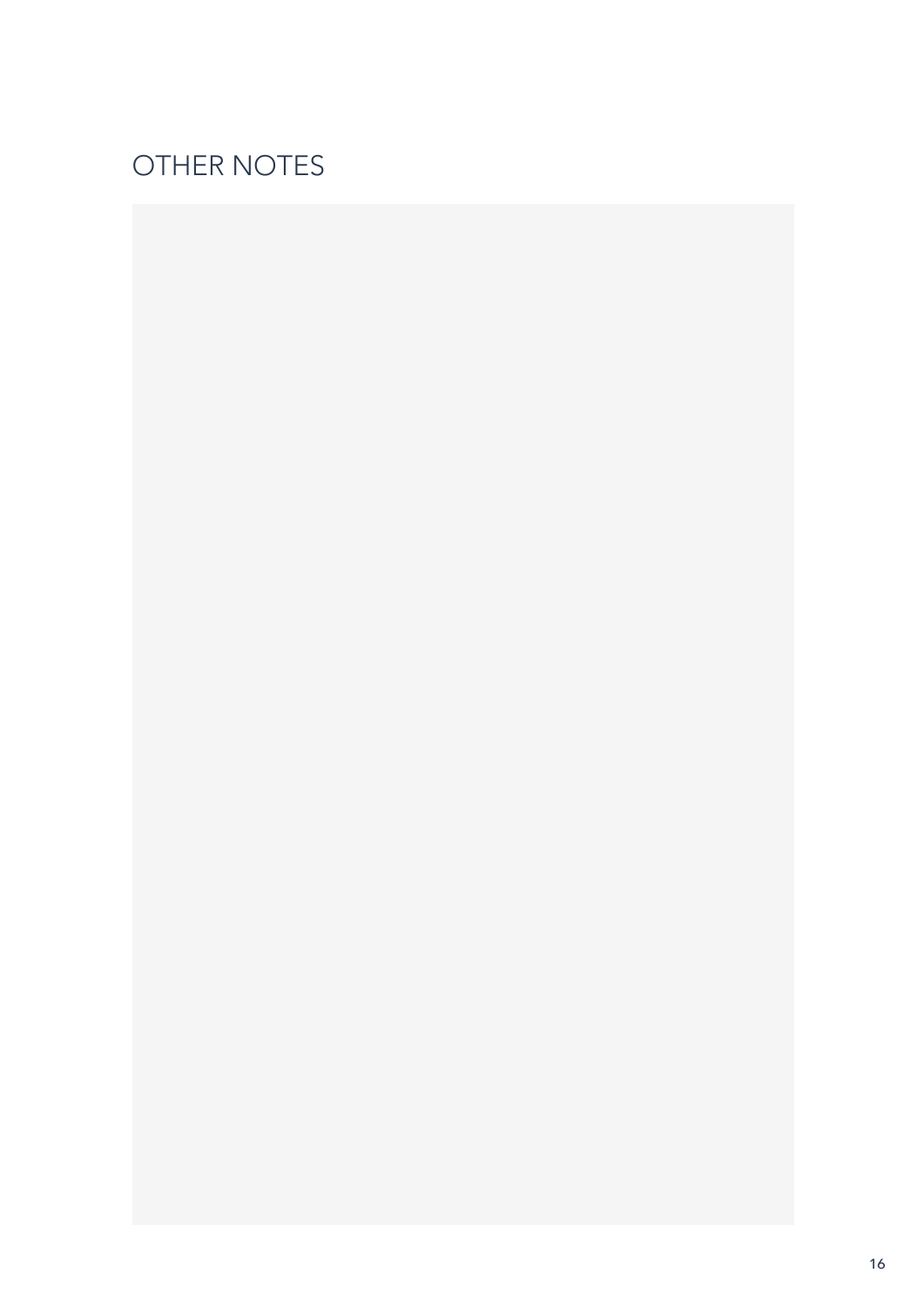# OTHER NOTES